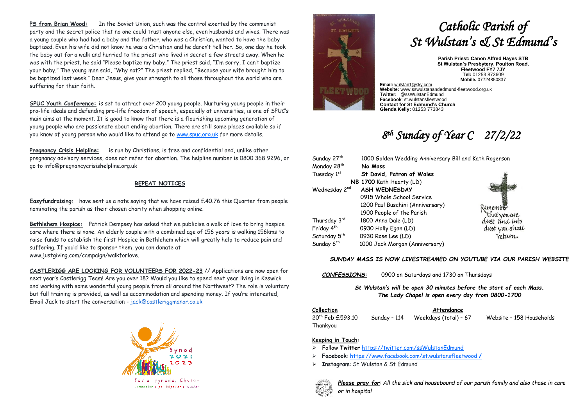**PS from Brian Wood:** In the Soviet Union, such was the control exerted by the communist party and the secret police that no one could trust anyone else, even husbands and wives. There was a young couple who had had a baby and the father, who was a Christian, wanted to have the baby baptized. Even his wife did not know he was a Christian and he daren't tell her. So, one day he took the baby out for a walk and hurried to the priest who lived in secret a few streets away. When he was with the priest, he said "Please baptize my baby." The priest said, "I'm sorry, I can't baptize your baby." The young man said, "Why not?" The priest replied, "Because your wife brought him to be baptized last week." Dear Jesus, give your strength to all those throughout the world who are suffering for their faith.

**SPUC Youth Conference:** is set to attract over 200 young people. Nurturing young people in their pro-life ideals and defending pro-life freedom of speech, especially at universities, is one of SPUC's main aims at the moment. It is good to know that there is a flourishing upcoming generation of young people who are passionate about ending abortion. There are still some places available so if you know of young person who would like to attend go t[o www.spuc.org.uk](http://www.spuc.org.uk/) for more details.

**Pregnancy Crisis Helpline:** is run by Christians, is free and confidential and, unlike other pregnancy advisory services, does not refer for abortion. The helpline number is 0800 368 9296, or go to info@pregnancycrisishelpline.org.uk

#### **REPEAT NOTICES**

**Easyfundraising:** have sent us a note saying that we have raised £40.76 this Quarter from people nominating the parish as their chosen charity when shopping online.

**Bethlehem Hospice:** Patrick Dempsey has asked that we publicise a walk of love to bring hospice care where there is none. An elderly couple with a combined age of 156 years is walking 156kms to raise funds to establish the first Hospice in Bethlehem which will greatly help to reduce pain and suffering. If you'd like to sponsor them, you can donate at www.justgiving.com/campaign/walkforlove.

**CASTLERIGG ARE LOOKING FOR VOLUNTEERS FOR 2022-23** // Applications are now open for next year's Castlerigg Team! Are you over 18? Would you like to spend next year living in Keswick and working with some wonderful young people from all around the Northwest? The role is voluntary but full training is provided, as well as accommodation and spending money. If you're interested, Email Jack to start the conversation - [jack@castleriggmanor.co.uk](mailto:jack@castleriggmanor.co.uk)





# *Catholic Parish of St Wulstan's & St Edmund's*

**Parish Priest: Canon Alfred Hayes STB St Wulstan's Presbytery, Poulton Road, Fleetwood FY7 7JY Tel:** 01253 873609 **Mobile.** 07724850837

**Email:** [wulstan1@sky.com](mailto:wulstan1@sky.com) **Website:** [www.sswulstanandedmund-fleetwood.org.uk](http://www.sswulstanandedmund-fleetwood.org.uk/) **Twitter:** @ssWulstanEdmund **Facebook**: st.wulstansfleetwood **Contact for St Edmund's Church Glenda Kelly:** 01253 773843

## *8 th Sunday of Year C 27/2/22*

| Sunday 27 <sup>th</sup>   | 1000 Golden Wedding Anniversary Bill and Kath Rogerson |                |
|---------------------------|--------------------------------------------------------|----------------|
| Monday 28 <sup>th</sup>   | No Mass                                                |                |
| Tuesday 1st               | St David, Patron of Wales                              |                |
|                           | NB 1700 Kath Hearty (LD)                               |                |
| Wednesday 2 <sup>nd</sup> | <b>ASH WEDNESDAY</b>                                   |                |
|                           | 0915 Whole School Service                              |                |
|                           | 1200 Paul Buschini (Anniversary)                       | Remember       |
|                           | 1900 People of the Parish                              | that you are   |
| Thursday 3rd              | 1800 Anna Dale (LD)                                    | dust and into  |
| Friday 4 <sup>th</sup>    | 0930 Holly Egan (LD)                                   | dust you shall |
| Saturday 5 <sup>th</sup>  | 0930 Rose Lee (LD)                                     | return.        |
| Sunday 6 <sup>th</sup>    | 1000 Jack Morgan (Anniversary)                         |                |

#### *SUNDAY MASS IS NOW LIVESTREAMED ON YOUTUBE VIA OUR PARISH WEBSITE*

*CONFESSIONS***:** 0900 on Saturdays and 1730 on Thursdays

*St Wulstan's will be open 30 minutes before the start of each Mass. The Lady Chapel is open every day from 0800-1700*

### **Collection Attendance**

20th Feb £593.10 Sunday – 114 Weekdays (total) – 67 Website – 158 Households Thankyou

#### **Keeping in Touch:**

- ➢ Follow **Twitter** <https://twitter.com/ssWulstanEdmund>
- ➢ **Facebook**: https://www.facebook.com/st.wulstansfleetwood **/**
- ➢ **Instagram**: St Wulstan & St Edmund



*Please pray for*: *All the sick and housebound of our parish family and also those in care or in hospital*